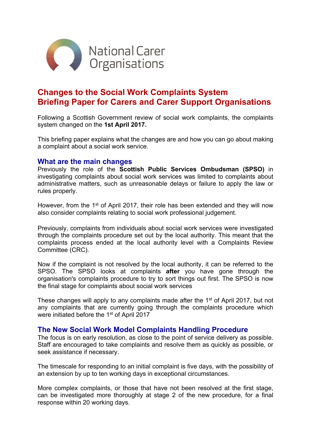

# **Changes to the Social Work Complaints System Briefing Paper for Carers and Carer Support Organisations**

Following a Scottish Government review of social work complaints, the complaints system changed on the **1st April 2017.**

This briefing paper explains what the changes are and how you can go about making a complaint about a social work service.

#### **What are the main changes**

Previously the role of the **Scottish Public Services Ombudsman (SPSO)** in investigating complaints about social work services was limited to complaints about administrative matters, such as unreasonable delays or failure to apply the law or rules properly.

However, from the 1<sup>st</sup> of April 2017, their role has been extended and they will now also consider complaints relating to social work professional judgement.

Previously, complaints from individuals about social work services were investigated through the complaints procedure set out by the local authority. This meant that the complaints process ended at the local authority level with a Complaints Review Committee (CRC).

Now if the complaint is not resolved by the local authority, it can be referred to the SPSO. The SPSO looks at complaints **after** you have gone through the organisation's complaints procedure to try to sort things out first. The SPSO is now the final stage for complaints about social work services

These changes will apply to any complaints made after the 1<sup>st</sup> of April 2017, but not any complaints that are currently going through the complaints procedure which were initiated before the 1<sup>st</sup> of April 2017

### **The New Social Work Model Complaints Handling Procedure**

The focus is on early resolution, as close to the point of service delivery as possible. Staff are encouraged to take complaints and resolve them as quickly as possible, or seek assistance if necessary.

The timescale for responding to an initial complaint is five days, with the possibility of an extension by up to ten working days in exceptional circumstances.

More complex complaints, or those that have not been resolved at the first stage, can be investigated more thoroughly at stage 2 of the new procedure, for a final response within 20 working days.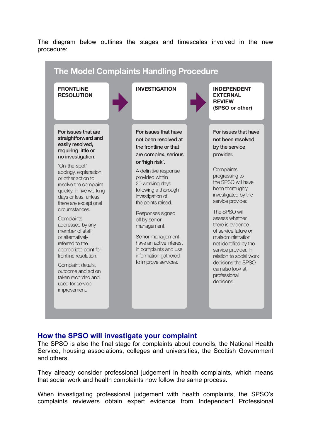The diagram below outlines the stages and timescales involved in the new procedure:

| <b>FRONTLINE</b><br><b>RESOLUTION</b>                                                                                                                                                                                                                                                                                                                                                                                                     | <b>INVESTIGATION</b>                                                                                                                                                                                                                                                                                       | <b>INDEPENDENT</b><br><b>EXTERNAL</b><br><b>REVIEW</b><br>(SPSO or other)                                                                                                                                                                                                                                                                                                   |
|-------------------------------------------------------------------------------------------------------------------------------------------------------------------------------------------------------------------------------------------------------------------------------------------------------------------------------------------------------------------------------------------------------------------------------------------|------------------------------------------------------------------------------------------------------------------------------------------------------------------------------------------------------------------------------------------------------------------------------------------------------------|-----------------------------------------------------------------------------------------------------------------------------------------------------------------------------------------------------------------------------------------------------------------------------------------------------------------------------------------------------------------------------|
| For issues that are<br>straightforward and<br>easily resolved,<br>requiring little or<br>no investigation.                                                                                                                                                                                                                                                                                                                                | For issues that have<br>not been resolved at<br>the frontline or that<br>are complex, serious<br>or 'high risk'.                                                                                                                                                                                           | For issues that have<br>not been resolved<br>by the service<br>provider.                                                                                                                                                                                                                                                                                                    |
| 'On-the-spot'<br>apology, explanation,<br>or other action to<br>resolve the complaint<br>quickly, in five working<br>days or less, unless<br>there are exceptional<br>circumstances.<br>Complaints<br>addressed by any<br>member of staff,<br>or alternatively<br>referred to the<br>appropriate point for<br>frontline resolution.<br>Complaint details,<br>outcome and action<br>taken recorded and<br>used for service<br>improvement. | A definitive response<br>provided within<br>20 working days<br>following a thorough<br>investigation of<br>the points raised.<br>Responses signed<br>off by senior<br>management.<br>Senior management<br>have an active interest<br>in complaints and use<br>information gathered<br>to improve services. | Complaints<br>progressing to<br>the SPSO will have<br>been thoroughly<br>investigated by the<br>service provider.<br>The SPSO will<br>assess whether<br>there is evidence<br>of service failure or<br>maladministration<br>not identified by the<br>service provider. In<br>relation to social work<br>decisions the SPSO<br>can also look at<br>professional<br>decisions. |

## **How the SPSO will investigate your complaint**

The SPSO is also the final stage for complaints about councils, the National Health Service, housing associations, colleges and universities, the Scottish Government and others.

They already consider professional judgement in health complaints, which means that social work and health complaints now follow the same process.

When investigating professional judgement with health complaints, the SPSO's complaints reviewers obtain expert evidence from Independent Professional